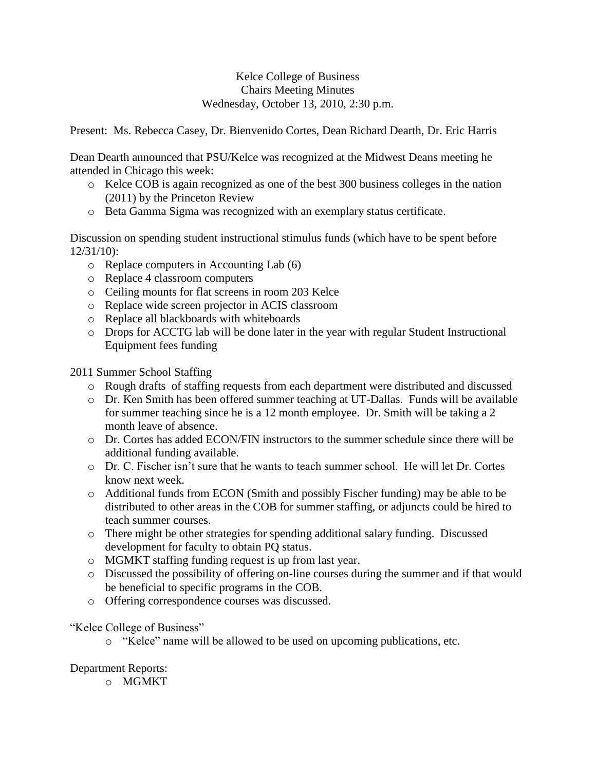## Kelce College of Business Chairs Meeting Minutes Wednesday, October 13, 2010, 2:30 p.m.

Present: Ms. Rebecca Casey, Dr. Bienvenido Cortes, Dean Richard Dearth, Dr. Eric Harris

Dean Dearth announced that PSU/Kelce was recognized at the Midwest Deans meeting he attended in Chicago this week:

- o Kelce COB is again recognized as one of the best 300 business colleges in the nation (2011) by the Princeton Review
- o Beta Gamma Sigma was recognized with an exemplary status certificate.

Discussion on spending student instructional stimulus funds (which have to be spent before 12/31/10):

- o Replace computers in Accounting Lab (6)
- o Replace 4 classroom computers
- o Ceiling mounts for flat screens in room 203 Kelce
- o Replace wide screen projector in ACIS classroom
- o Replace all blackboards with whiteboards
- o Drops for ACCTG lab will be done later in the year with regular Student Instructional Equipment fees funding

2011 Summer School Staffing

- o Rough drafts of staffing requests from each department were distributed and discussed
- o Dr. Ken Smith has been offered summer teaching at UT-Dallas. Funds will be available for summer teaching since he is a 12 month employee. Dr. Smith will be taking a 2 month leave of absence.
- o Dr. Cortes has added ECON/FIN instructors to the summer schedule since there will be additional funding available.
- o Dr. C. Fischer isn't sure that he wants to teach summer school. He will let Dr. Cortes know next week.
- o Additional funds from ECON (Smith and possibly Fischer funding) may be able to be distributed to other areas in the COB for summer staffing, or adjuncts could be hired to teach summer courses.
- o There might be other strategies for spending additional salary funding. Discussed development for faculty to obtain PQ status.
- o MGMKT staffing funding request is up from last year.
- o Discussed the possibility of offering on-line courses during the summer and if that would be beneficial to specific programs in the COB.
- o Offering correspondence courses was discussed.

## "Kelce College of Business"

o "Kelce" name will be allowed to be used on upcoming publications, etc.

## Department Reports:

o MGMKT